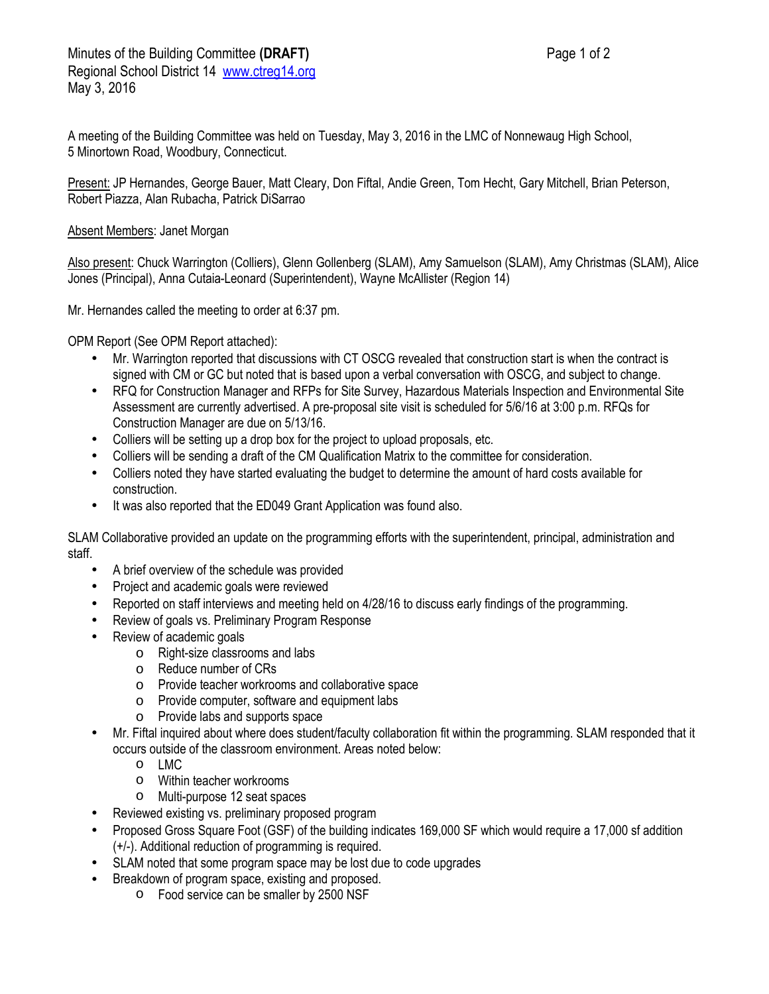A meeting of the Building Committee was held on Tuesday, May 3, 2016 in the LMC of Nonnewaug High School, 5 Minortown Road, Woodbury, Connecticut.

Present: JP Hernandes, George Bauer, Matt Cleary, Don Fiftal, Andie Green, Tom Hecht, Gary Mitchell, Brian Peterson, Robert Piazza, Alan Rubacha, Patrick DiSarrao

## Absent Members: Janet Morgan

Also present: Chuck Warrington (Colliers), Glenn Gollenberg (SLAM), Amy Samuelson (SLAM), Amy Christmas (SLAM), Alice Jones (Principal), Anna Cutaia-Leonard (Superintendent), Wayne McAllister (Region 14)

Mr. Hernandes called the meeting to order at 6:37 pm.

OPM Report (See OPM Report attached):

- Mr. Warrington reported that discussions with CT OSCG revealed that construction start is when the contract is signed with CM or GC but noted that is based upon a verbal conversation with OSCG, and subject to change.
- RFQ for Construction Manager and RFPs for Site Survey, Hazardous Materials Inspection and Environmental Site Assessment are currently advertised. A pre-proposal site visit is scheduled for 5/6/16 at 3:00 p.m. RFQs for Construction Manager are due on 5/13/16.
- Colliers will be setting up a drop box for the project to upload proposals, etc.
- Colliers will be sending a draft of the CM Qualification Matrix to the committee for consideration.
- Colliers noted they have started evaluating the budget to determine the amount of hard costs available for construction.
- It was also reported that the ED049 Grant Application was found also.

SLAM Collaborative provided an update on the programming efforts with the superintendent, principal, administration and staff.

- A brief overview of the schedule was provided
- Project and academic goals were reviewed
- Reported on staff interviews and meeting held on 4/28/16 to discuss early findings of the programming.
- Review of goals vs. Preliminary Program Response
- Review of academic goals
	- o Right-size classrooms and labs
	- o Reduce number of CRs
	- o Provide teacher workrooms and collaborative space
	- o Provide computer, software and equipment labs
	- o Provide labs and supports space
- Mr. Fiftal inquired about where does student/faculty collaboration fit within the programming. SLAM responded that it occurs outside of the classroom environment. Areas noted below:
	- o LMC
	- o Within teacher workrooms
	- o Multi-purpose 12 seat spaces
- Reviewed existing vs. preliminary proposed program
- Proposed Gross Square Foot (GSF) of the building indicates 169,000 SF which would require a 17,000 sf addition (+/-). Additional reduction of programming is required.
- SLAM noted that some program space may be lost due to code upgrades
- Breakdown of program space, existing and proposed.
	- o Food service can be smaller by 2500 NSF